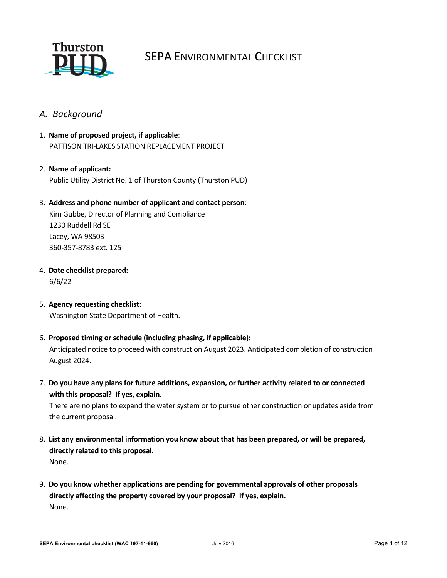

# SEPA ENVIRONMENTAL CHECKLIST

# *A. Background*

- 1. **Name of proposed project, if applicable**: PATTISON TRI-LAKES STATION REPLACEMENT PROJECT
- 2. **Name of applicant:** Public Utility District No. 1 of Thurston County (Thurston PUD)

#### 3. **Address and phone number of applicant and contact person**:

Kim Gubbe, Director of Planning and Compliance 1230 Ruddell Rd SE Lacey, WA 98503 360-357-8783 ext. 125

- 4. **Date checklist prepared:** 6/6/22
- 5. **Agency requesting checklist:** Washington State Department of Health.
- 6. **Proposed timing or schedule (including phasing, if applicable):**

Anticipated notice to proceed with construction August 2023. Anticipated completion of construction August 2024.

7. **Do you have any plans for future additions, expansion, or further activity related to or connected with this proposal? If yes, explain.**

There are no plans to expand the water system or to pursue other construction or updates aside from the current proposal.

- 8. **List any environmental information you know about that has been prepared, or will be prepared, directly related to this proposal.**  None.
- 9. **Do you know whether applications are pending for governmental approvals of other proposals directly affecting the property covered by your proposal? If yes, explain.** None.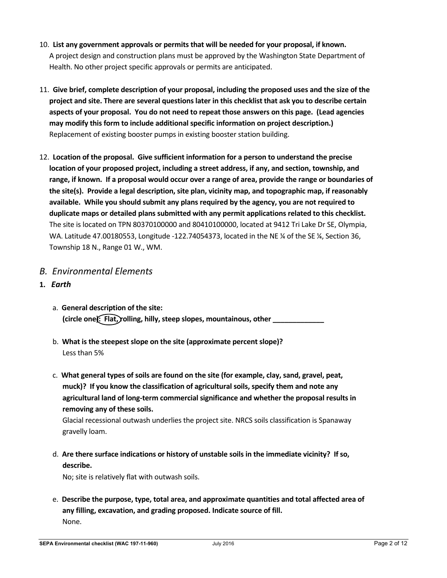- 10. **List any government approvals or permits that will be needed for your proposal, if known.** A project design and construction plans must be approved by the Washington State Department of Health. No other project specific approvals or permits are anticipated.
- 11. **Give brief, complete description of your proposal, including the proposed uses and the size of the project and site. There are several questions later in this checklist that ask you to describe certain aspects of your proposal. You do not need to repeat those answers on this page. (Lead agencies may modify this form to include additional specific information on project description.)** Replacement of existing booster pumps in existing booster station building.
- 12. **Location of the proposal. Give sufficient information for a person to understand the precise location of your proposed project, including a street address, if any, and section, township, and range, if known. If a proposal would occur over a range of area, provide the range or boundaries of the site(s). Provide a legal description, site plan, vicinity map, and topographic map, if reasonably available. While you should submit any plans required by the agency, you are not required to duplicate maps or detailed plans submitted with any permit applications related to this checklist.** The site is located on TPN 80370100000 and 80410100000, located at 9412 Tri Lake Dr SE, Olympia, WA. Latitude 47.00180553, Longitude -122.74054373, located in the NE ¼ of the SE ¼, Section 36, Township 18 N., Range 01 W., WM.

# *B. Environmental Elements*

- **1.** *Earth*
	- a. **General description of the site:** (circle one): Flat, rolling, hilly, steep slopes, mountainous, other
	- b. **What is the steepest slope on the site (approximate percent slope)?** Less than 5%
	- c. **What general types of soils are found on the site (for example, clay, sand, gravel, peat, muck)? If you know the classification of agricultural soils, specify them and note any agricultural land of long-term commercial significance and whether the proposal results in removing any of these soils.**

Glacial recessional outwash underlies the project site. NRCS soils classification is Spanaway gravelly loam.

d. **Are there surface indications or history of unstable soils in the immediate vicinity? If so, describe.**

No; site is relatively flat with outwash soils.

e. **Describe the purpose, type, total area, and approximate quantities and total affected area of any filling, excavation, and grading proposed. Indicate source of fill.** None.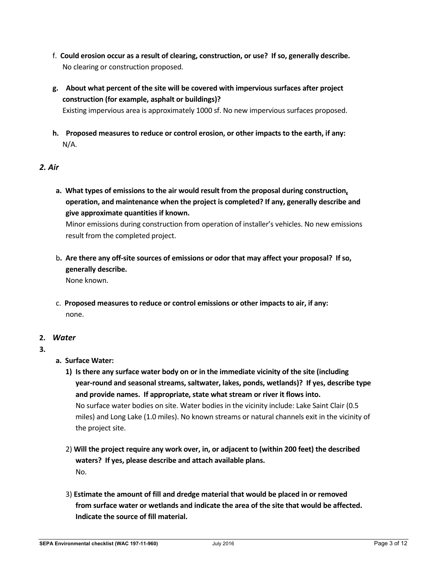- f. **Could erosion occur as a result of clearing, construction, or use? If so, generally describe.** No clearing or construction proposed.
- **g. About what percent of the site will be covered with impervious surfaces after project construction (for example, asphalt or buildings)?**

Existing impervious area is approximately 1000 sf. No new impervious surfaces proposed.

**h. Proposed measures to reduce or control erosion, or other impacts to the earth, if any:** N/A.

## *2. Air*

**a. What types of emissions to the air would result from the proposal during construction, operation, and maintenance when the project is completed? If any, generally describe and give approximate quantities if known.**

Minor emissions during construction from operation of installer's vehicles. No new emissions result from the completed project.

b**. Are there any off-site sources of emissions or odor that may affect your proposal? If so, generally describe.**

None known.

c. **Proposed measures to reduce or control emissions or other impacts to air, if any:** none.

## **2.** *Water*

- **3.**
- **a. Surface Water:**
	- **1) Is there any surface water body on or in the immediate vicinity of the site (including year-round and seasonal streams, saltwater, lakes, ponds, wetlands)? If yes, describe type and provide names. If appropriate, state what stream or river it flows into.** No surface water bodies on site. Water bodies in the vicinity include: Lake Saint Clair (0.5 miles) and Long Lake (1.0 miles). No known streams or natural channels exit in the vicinity of the project site.
	- 2) **Will the project require any work over, in, or adjacent to (within 200 feet) the described waters? If yes, please describe and attach available plans.** No.
	- 3) **Estimate the amount of fill and dredge material that would be placed in or removed from surface water or wetlands and indicate the area of the site that would be affected. Indicate the source of fill material.**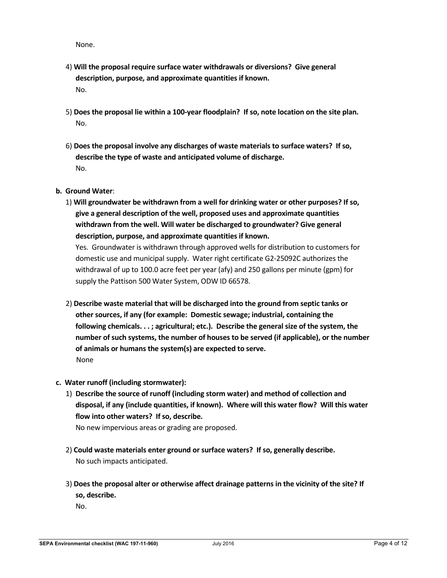None.

- 4) **Will the proposal require surface water withdrawals or diversions? Give general description, purpose, and approximate quantities if known.** No.
- 5) **Does the proposal lie within a 100-year floodplain? If so, note location on the site plan.** No.
- 6) **Does the proposal involve any discharges of waste materials to surface waters? If so, describe the type of waste and anticipated volume of discharge.** No.
- **b. Ground Water**:
	- 1) **Will groundwater be withdrawn from a well for drinking water or other purposes? If so, give a general description of the well, proposed uses and approximate quantities withdrawn from the well. Will water be discharged to groundwater? Give general description, purpose, and approximate quantities if known.**

Yes. Groundwater is withdrawn through approved wells for distribution to customers for domestic use and municipal supply. Water right certificate G2-25092C authorizes the withdrawal of up to 100.0 acre feet per year (afy) and 250 gallons per minute (gpm) for supply the Pattison 500 Water System, ODW ID 66578.

- 2) **Describe waste material that will be discharged into the ground from septic tanks or other sources, if any (for example: Domestic sewage; industrial, containing the following chemicals. . . ; agricultural; etc.). Describe the general size of the system, the number of such systems, the number of houses to be served (if applicable), or the number of animals or humans the system(s) are expected to serve.** None
- **c. Water runoff (including stormwater):**
	- 1) **Describe the source of runoff (including storm water) and method of collection and disposal, if any (include quantities, if known). Where will this water flow? Will this water flow into other waters? If so, describe.**

No new impervious areas or grading are proposed.

- 2) **Could waste materials enter ground or surface waters? If so, generally describe.** No such impacts anticipated.
- 3) **Does the proposal alter or otherwise affect drainage patterns in the vicinity of the site? If so, describe.**

No.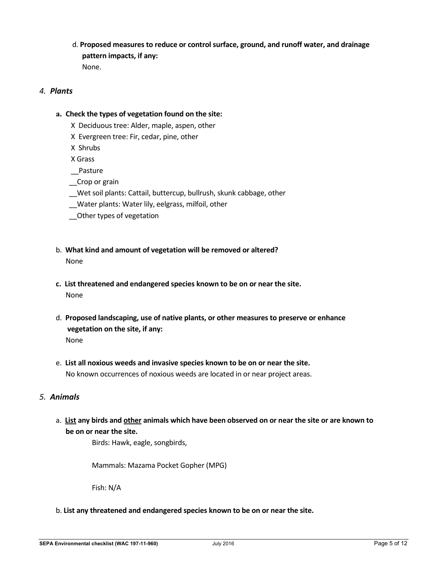d. **Proposed measures to reduce or control surface, ground, and runoff water, and drainage pattern impacts, if any:** None.

#### *4. Plants*

#### **a. Check the types of vegetation found on the site:**

- X Deciduous tree: Alder, maple, aspen, other
- X Evergreen tree: Fir, cedar, pine, other
- X Shrubs
- X Grass
- \_\_Pasture
- \_\_Crop or grain
- Wet soil plants: Cattail, buttercup, bullrush, skunk cabbage, other
- \_\_Water plants: Water lily, eelgrass, milfoil, other
- \_\_Other types of vegetation
- b. **What kind and amount of vegetation will be removed or altered?** None
- **c. List threatened and endangered species known to be on or near the site.** None
- d. **Proposed landscaping, use of native plants, or other measures to preserve or enhance vegetation on the site, if any:** None
- e. **List all noxious weeds and invasive species known to be on or near the site.** No known occurrences of noxious weeds are located in or near project areas.

## *5. Animals*

a. **List any birds and other animals which have been observed on or near the site or are known to be on or near the site.**

Birds: Hawk, eagle, songbirds,

Mammals: Mazama Pocket Gopher (MPG)

Fish: N/A

b. **List any threatened and endangered species known to be on or near the site.**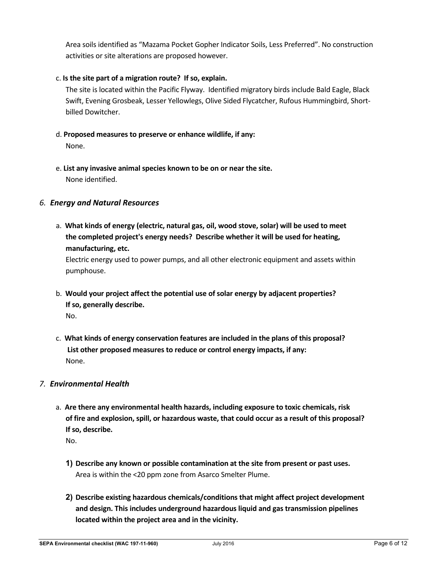Area soils identified as "Mazama Pocket Gopher Indicator Soils, Less Preferred". No construction activities or site alterations are proposed however.

## c. **Is the site part of a migration route? If so, explain.**

The site is located within the Pacific Flyway. Identified migratory birds include Bald Eagle, Black Swift, Evening Grosbeak, Lesser Yellowlegs, Olive Sided Flycatcher, Rufous Hummingbird, Shortbilled Dowitcher.

# d. **Proposed measures to preserve or enhance wildlife, if any:**

- None.
- e. **List any invasive animal species known to be on or near the site.** None identified.

# *6. Energy and Natural Resources*

a. **What kinds of energy (electric, natural gas, oil, wood stove, solar) will be used to meet the completed project's energy needs? Describe whether it will be used for heating, manufacturing, etc.**

Electric energy used to power pumps, and all other electronic equipment and assets within pumphouse.

- b. **Would your project affect the potential use of solar energy by adjacent properties? If so, generally describe.**  No.
- c. **What kinds of energy conservation features are included in the plans of this proposal? List other proposed measures to reduce or control energy impacts, if any:**  None.

## *7. Environmental Health*

- a. **Are there any environmental health hazards, including exposure to toxic chemicals, risk of fire and explosion, spill, or hazardous waste, that could occur as a result of this proposal? If so, describe.**
	- No.
	- **1) Describe any known or possible contamination at the site from present or past uses.**  Area is within the <20 ppm zone from Asarco Smelter Plume.
	- **2) Describe existing hazardous chemicals/conditions that might affect project development and design. This includes underground hazardous liquid and gas transmission pipelines located within the project area and in the vicinity.**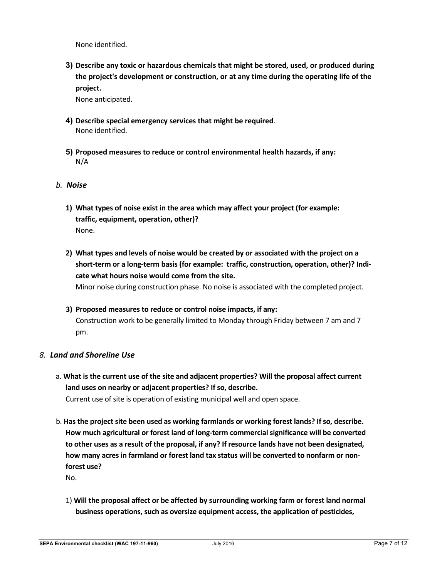None identified.

**3) Describe any toxic or hazardous chemicals that might be stored, used, or produced during the project's development or construction, or at any time during the operating life of the project.**

None anticipated.

- **4) Describe special emergency services that might be required**. None identified.
- **5) Proposed measures to reduce or control environmental health hazards, if any:** N/A

#### *b. Noise*

- **1) What types of noise exist in the area which may affect your project (for example: traffic, equipment, operation, other)?**  None.
- **2) What types and levels of noise would be created by or associated with the project on a short-term or a long-term basis (for example: traffic, construction, operation, other)? Indicate what hours noise would come from the site.** Minor noise during construction phase. No noise is associated with the completed project.
- **3) Proposed measures to reduce or control noise impacts, if any:** Construction work to be generally limited to Monday through Friday between 7 am and 7 pm.

#### *8. Land and Shoreline Use*

a. **What is the current use of the site and adjacent properties? Will the proposal affect current land uses on nearby or adjacent properties? If so, describe.**

Current use of site is operation of existing municipal well and open space.

b. **Has the project site been used as working farmlands or working forest lands? If so, describe. How much agricultural or forest land of long-term commercial significance will be converted to other uses as a result of the proposal, if any? If resource lands have not been designated, how many acres in farmland or forest land tax status will be converted to nonfarm or nonforest use?**

No.

1) **Will the proposal affect or be affected by surrounding working farm or forest land normal business operations, such as oversize equipment access, the application of pesticides,**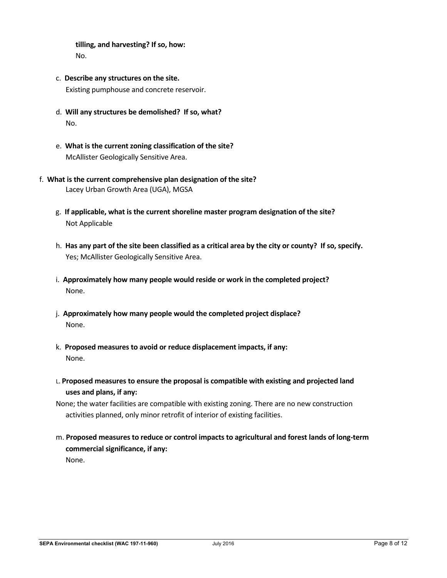**tilling, and harvesting? If so, how:** No.

- c. **Describe any structures on the site.** Existing pumphouse and concrete reservoir.
- d. **Will any structures be demolished? If so, what?** No.
- e. **What is the current zoning classification of the site?** McAllister Geologically Sensitive Area.
- f. **What is the current comprehensive plan designation of the site?** Lacey Urban Growth Area (UGA), MGSA
	- g. **If applicable, what is the current shoreline master program designation of the site?** Not Applicable
	- h. **Has any part of the site been classified as a critical area by the city or county? If so, specify.** Yes; McAllister Geologically Sensitive Area.
	- i. **Approximately how many people would reside or work in the completed project?** None.
	- j. **Approximately how many people would the completed project displace?** None.
	- k. **Proposed measures to avoid or reduce displacement impacts, if any:** None.
	- L. **Proposed measures to ensure the proposal is compatible with existing and projected land uses and plans, if any:**
	- None; the water facilities are compatible with existing zoning. There are no new construction activities planned, only minor retrofit of interior of existing facilities.
	- m. **Proposed measures to reduce or control impacts to agricultural and forest lands of long-term commercial significance, if any:** None.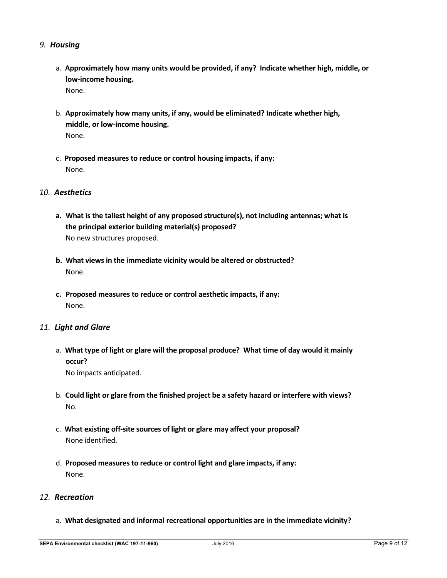#### *9. Housing*

- a. **Approximately how many units would be provided, if any? Indicate whether high, middle, or low-income housing.** None.
- b. **Approximately how many units, if any, would be eliminated? Indicate whether high, middle, or low-income housing.** None.
- c. **Proposed measures to reduce or control housing impacts, if any:** None.

## *10. Aesthetics*

- **a. What is the tallest height of any proposed structure(s), not including antennas; what is the principal exterior building material(s) proposed?**  No new structures proposed.
- **b. What views in the immediate vicinity would be altered or obstructed?**  None.
- **c. Proposed measures to reduce or control aesthetic impacts, if any:** None.

#### *11. Light and Glare*

a. **What type of light or glare will the proposal produce? What time of day would it mainly occur?**

No impacts anticipated.

- b. **Could light or glare from the finished project be a safety hazard or interfere with views?** No.
- c. **What existing off-site sources of light or glare may affect your proposal?** None identified.
- d. **Proposed measures to reduce or control light and glare impacts, if any:** None.

## *12. Recreation*

a. **What designated and informal recreational opportunities are in the immediate vicinity?**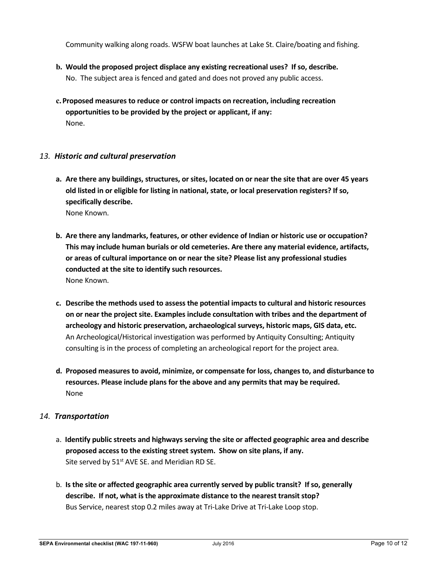Community walking along roads. WSFW boat launches at Lake St. Claire/boating and fishing.

- **b. Would the proposed project displace any existing recreational uses? If so, describe.** No. The subject area is fenced and gated and does not proved any public access.
- **c.Proposed measures to reduce or control impacts on recreation, including recreation opportunities to be provided by the project or applicant, if any:** None.

## *13. Historic and cultural preservation*

- **a. Are there any buildings, structures, or sites, located on or near the site that are over 45 years old listed in or eligible for listing in national, state, or local preservation registers? If so, specifically describe.** None Known.
- **b. Are there any landmarks, features, or other evidence of Indian or historic use or occupation? This may include human burials or old cemeteries. Are there any material evidence, artifacts, or areas of cultural importance on or near the site? Please list any professional studies conducted at the site to identify such resources.** None Known.
- **c. Describe the methods used to assess the potential impacts to cultural and historic resources on or near the project site. Examples include consultation with tribes and the department of archeology and historic preservation, archaeological surveys, historic maps, GIS data, etc.**  An Archeological/Historical investigation was performed by Antiquity Consulting; Antiquity consulting is in the process of completing an archeological report for the project area.
- **d. Proposed measures to avoid, minimize, or compensate for loss, changes to, and disturbance to resources. Please include plans for the above and any permits that may be required.** None

## *14. Transportation*

- a. **Identify public streets and highways serving the site or affected geographic area and describe proposed access to the existing street system. Show on site plans, if any.** Site served by  $51<sup>st</sup>$  AVE SE. and Meridian RD SE.
- b. **Is the site or affected geographic area currently served by public transit? If so, generally describe. If not, what is the approximate distance to the nearest transit stop?** Bus Service, nearest stop 0.2 miles away at Tri-Lake Drive at Tri-Lake Loop stop.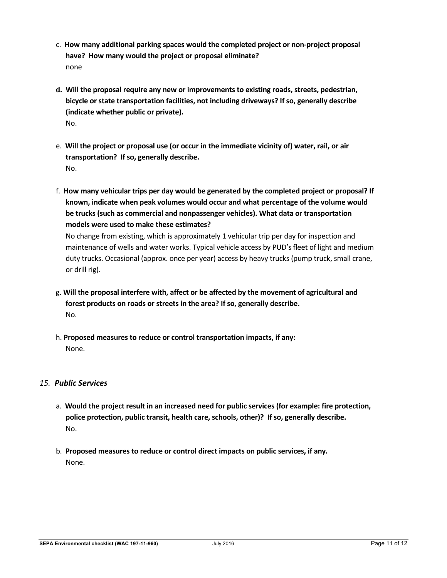- c. **How many additional parking spaces would the completed project or non-project proposal have? How many would the project or proposal eliminate?** none
- **d. Will the proposal require any new or improvements to existing roads, streets, pedestrian, bicycle or state transportation facilities, not including driveways? If so, generally describe (indicate whether public or private).** No.
- e. **Will the project or proposal use (or occur in the immediate vicinity of) water, rail, or air transportation? If so, generally describe[.](https://ecology.wa.gov/Regulations-Permits/SEPA/Environmental-review/SEPA-guidance/Checklist-guidance#14.%20Transportation)** No.
- f. **How many vehicular trips per day would be generated by the completed project or proposal? If known, indicate when peak volumes would occur and what percentage of the volume would be trucks (such as commercial and nonpassenger vehicles). What data or transportation models were used to make these estimates?**

No change from existing, which is approximately 1 vehicular trip per day for inspection and maintenance of wells and water works. Typical vehicle access by PUD's fleet of light and medium duty trucks. Occasional (approx. once per year) access by heavy trucks (pump truck, small crane, or drill rig).

- g. **Will the proposal interfere with, affect or be affected by the movement of agricultural and forest products on roads or streets in the area? If so, generally describe.** No.
- h. **Proposed measures to reduce or control transportation impacts, if any:** None.

# *15. Public Services*

- a. **Would the project result in an increased need for public services (for example: fire protection, police protection, public transit, health care, schools, other)? If so, generally describe.** No.
- b. **Proposed measures to reduce or control direct impacts on public services, if any.**  None.